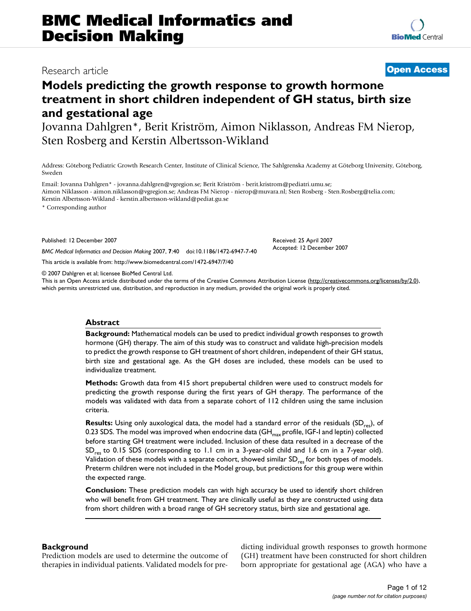# Research article **Open Access**

# **Models predicting the growth response to growth hormone treatment in short children independent of GH status, birth size and gestational age**

Jovanna Dahlgren\*, Berit Kriström, Aimon Niklasson, Andreas FM Nierop, Sten Rosberg and Kerstin Albertsson-Wikland

Address: Göteborg Pediatric Growth Research Center, Institute of Clinical Science, The Sahlgrenska Academy at Göteborg University, Göteborg, Sweden

Email: Jovanna Dahlgren\* - jovanna.dahlgren@vgregion.se; Berit Kriström - berit.kristrom@pediatri.umu.se; Aimon Niklasson - aimon.niklasson@vgregion.se; Andreas FM Nierop - nierop@muvara.nl; Sten Rosberg - Sten.Rosberg@telia.com; Kerstin Albertsson-Wikland - kerstin.albertsson-wikland@pediat.gu.se

\* Corresponding author

Published: 12 December 2007

*BMC Medical Informatics and Decision Making* 2007, **7**:40 doi:10.1186/1472-6947-7-40

This article is available from: http://www.biomedcentral.com/1472-6947/7/40

© 2007 Dahlgren et al; licensee BioMed Central Ltd.

This is an Open Access article distributed under the terms of the Creative Commons Attribution License (http://creativecommons.org/licenses/by/2.0), which permits unrestricted use, distribution, and reproduction in any medium, provided the original work is properly cited.

#### **Abstract**

**Background:** Mathematical models can be used to predict individual growth responses to growth hormone (GH) therapy. The aim of this study was to construct and validate high-precision models to predict the growth response to GH treatment of short children, independent of their GH status, birth size and gestational age. As the GH doses are included, these models can be used to individualize treatment.

**Methods:** Growth data from 415 short prepubertal children were used to construct models for predicting the growth response during the first years of GH therapy. The performance of the models was validated with data from a separate cohort of 112 children using the same inclusion criteria.

**Results:** Using only auxological data, the model had a standard error of the residuals (SD<sub>res</sub>), of 0.23 SDS. The model was improved when endocrine data (GH $_{\text{max}}$  profile, IGF-I and leptin) collected before starting GH treatment were included. Inclusion of these data resulted in a decrease of the SD<sub>res</sub> to 0.15 SDS (corresponding to 1.1 cm in a 3-year-old child and 1.6 cm in a 7-year old). Validation of these models with a separate cohort, showed similar  $SD_{res}$  for both types of models. Preterm children were not included in the Model group, but predictions for this group were within the expected range.

**Conclusion:** These prediction models can with high accuracy be used to identify short children who will benefit from GH treatment. They are clinically useful as they are constructed using data from short children with a broad range of GH secretory status, birth size and gestational age.

# **Background**

Prediction models are used to determine the outcome of therapies in individual patients. Validated models for predicting individual growth responses to growth hormone (GH) treatment have been constructed for short children born appropriate for gestational age (AGA) who have a

Received: 25 April 2007 Accepted: 12 December 2007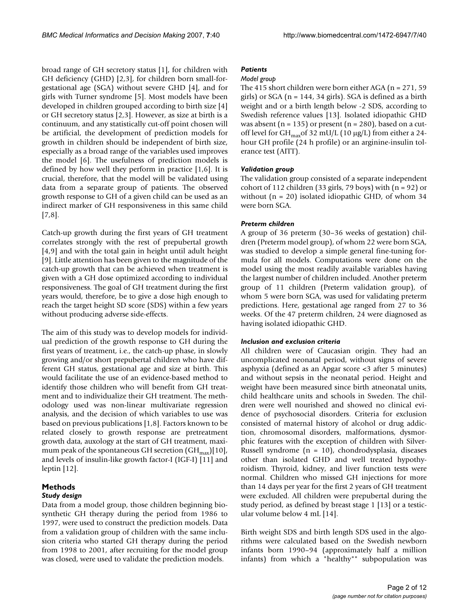broad range of GH secretory status [1], for children with GH deficiency (GHD) [2,3], for children born small-forgestational age (SGA) without severe GHD [4], and for girls with Turner syndrome [5]. Most models have been developed in children grouped according to birth size [4] or GH secretory status [2,3]. However, as size at birth is a continuum, and any statistically cut-off point chosen will be artificial, the development of prediction models for growth in children should be independent of birth size, especially as a broad range of the variables used improves the model [6]. The usefulness of prediction models is defined by how well they perform in practice [1,6]. It is crucial, therefore, that the model will be validated using data from a separate group of patients. The observed growth response to GH of a given child can be used as an indirect marker of GH responsiveness in this same child [7,8].

Catch-up growth during the first years of GH treatment correlates strongly with the rest of prepubertal growth [4,9] and with the total gain in height until adult height [9]. Little attention has been given to the magnitude of the catch-up growth that can be achieved when treatment is given with a GH dose optimized according to individual responsiveness. The goal of GH treatment during the first years would, therefore, be to give a dose high enough to reach the target height SD score (SDS) within a few years without producing adverse side-effects.

The aim of this study was to develop models for individual prediction of the growth response to GH during the first years of treatment, i.e., the catch-up phase, in slowly growing and/or short prepubertal children who have different GH status, gestational age and size at birth. This would facilitate the use of an evidence-based method to identify those children who will benefit from GH treatment and to individualize their GH treatment. The methodology used was non-linear multivariate regression analysis, and the decision of which variables to use was based on previous publications [1,8]. Factors known to be related closely to growth response are pretreatment growth data, auxology at the start of GH treatment, maximum peak of the spontaneous GH secretion  $(GH<sub>max</sub>)[10]$ , and levels of insulin-like growth factor-I (IGF-I) [11] and leptin [12].

# **Methods**

# *Study design*

Data from a model group, those children beginning biosynthetic GH therapy during the period from 1986 to 1997, were used to construct the prediction models. Data from a validation group of children with the same inclusion criteria who started GH therapy during the period from 1998 to 2001, after recruiting for the model group was closed, were used to validate the prediction models.

# *Patients*

#### *Model group*

The 415 short children were born either AGA ( $n = 271, 59$ ) girls) or SGA (n = 144, 34 girls). SGA is defined as a birth weight and or a birth length below -2 SDS, according to Swedish reference values [13]. Isolated idiopathic GHD was absent ( $n = 135$ ) or present ( $n = 280$ ), based on a cutoff level for GH<sub>max</sub>of 32 mU/L (10  $\mu$ g/L) from either a 24hour GH profile (24 h profile) or an arginine-insulin tolerance test (AITT).

### *Validation group*

The validation group consisted of a separate independent cohort of 112 children (33 girls, 79 boys) with  $(n = 92)$  or without  $(n = 20)$  isolated idiopathic GHD, of whom 34 were born SGA.

### *Preterm children*

A group of 36 preterm (30–36 weeks of gestation) children (Preterm model group), of whom 22 were born SGA, was studied to develop a simple general fine-tuning formula for all models. Computations were done on the model using the most readily available variables having the largest number of children included. Another preterm group of 11 children (Preterm validation group), of whom 5 were born SGA, was used for validating preterm predictions. Here, gestational age ranged from 27 to 36 weeks. Of the 47 preterm children, 24 were diagnosed as having isolated idiopathic GHD.

#### *Inclusion and exclusion criteria*

All children were of Caucasian origin. They had an uncomplicated neonatal period, without signs of severe asphyxia (defined as an Apgar score <3 after 5 minutes) and without sepsis in the neonatal period. Height and weight have been measured since birth atneonatal units, child healthcare units and schools in Sweden. The children were well nourished and showed no clinical evidence of psychosocial disorders. Criteria for exclusion consisted of maternal history of alcohol or drug addiction, chromosomal disorders, malformations, dysmorphic features with the exception of children with Silver-Russell syndrome (n = 10), chondrodysplasia, diseases other than isolated GHD and well treated hypothyroidism. Thyroid, kidney, and liver function tests were normal. Children who missed GH injections for more than 14 days per year for the first 2 years of GH treatment were excluded. All children were prepubertal during the study period, as defined by breast stage 1 [13] or a testicular volume below 4 mL [14].

Birth weight SDS and birth length SDS used in the algorithms were calculated based on the Swedish newborn infants born 1990–94 (approximately half a million infants) from which a "healthy"" subpopulation was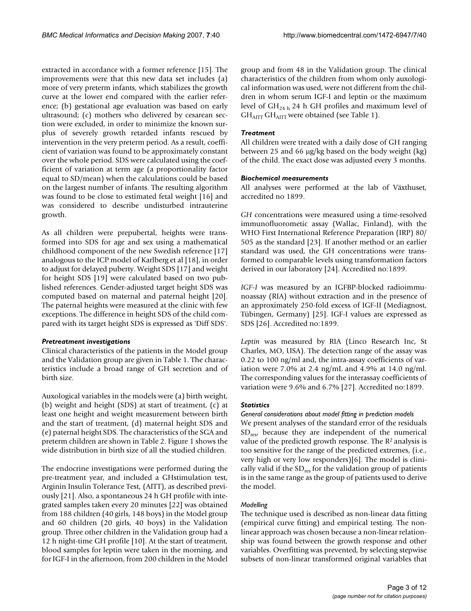extracted in accordance with a former reference [15]. The improvements were that this new data set includes (a) more of very preterm infants, which stabilizes the growth curve at the lower end compared with the earlier reference; (b) gestational age evaluation was based on early ultrasound; (c) mothers who delivered by cesarean section were excluded, in order to minimize the known surplus of severely growth retarded infants rescued by intervention in the very preterm period. As a result, coefficient of variation was found to be approximately constant over the whole period. SDS were calculated using the coefficient of variation at term age (a proportionality factor equal to SD/mean) when the calculations could be based on the largest number of infants. The resulting algorithm was found to be close to estimated fetal weight [16] and was considered to describe undisturbed intrauterine growth.

As all children were prepubertal, heights were transformed into SDS for age and sex using a mathematical childhood component of the new Swedish reference [17] analogous to the ICP model of Karlberg et al [18], in order to adjust for delayed puberty. Weight SDS [17] and weight for height SDS [19] were calculated based on two published references. Gender-adjusted target height SDS was computed based on maternal and paternal height [20]. The paternal heights were measured at the clinic with few exceptions. The difference in height SDS of the child compared with its target height SDS is expressed as 'Diff SDS'.

#### *Pretreatment investigations*

Clinical characteristics of the patients in the Model group and the Validation group are given in Table 1. The characteristics include a broad range of GH secretion and of birth size.

Auxological variables in the models were (a) birth weight, (b) weight and height (SDS) at start of treatment, (c) at least one height and weight measurement between birth and the start of treatment, (d) maternal height SDS and (e) paternal height SDS. The characteristics of the SGA and preterm children are shown in Table 2. Figure 1 shows the wide distribution in birth size of all the studied children.

The endocrine investigations were performed during the pre-treatment year, and included a GHstimulation test, Arginin Insulin Tolerance Test, (AITT), as described previously [21]. Also, a spontaneous 24 h GH profile with integrated samples taken every 20 minutes [22] was obtained from 188 children (40 girls, 148 boys) in the Model group and 60 children (20 girls, 40 boys) in the Validation group. Three other children in the Validation group had a 12 h night-time GH profile [10]. At the start of treatment, blood samples for leptin were taken in the morning, and for IGF-I in the afternoon, from 200 children in the Model

group and from 48 in the Validation group. The clinical characteristics of the children from whom only auxological information was used, were not different from the children in whom serum IGF-I and leptin or the maximum level of  $GH_{24 h}$  24 h GH profiles and maximum level of  $GH_{ATT}GH_{ATT}$  were obtained (see Table 1).

#### *Treatment*

All children were treated with a daily dose of GH ranging between 25 and 66  $\mu$ g/kg based on the body weight (kg) of the child. The exact dose was adjusted every 3 months.

#### *Biochemical measurements*

All analyses were performed at the lab of Växthuset, accredited no 1899.

*GH* concentrations were measured using a time-resolved immunofluorometic assay (Wallac, Finland), with the WHO First International Reference Preparation (IRP) 80/ 505 as the standard [23]. If another method or an earlier standard was used, the GH concentrations were transformed to comparable levels using transformation factors derived in our laboratory [24]. Accredited no:1899.

*IGF-I* was measured by an IGFBP-blocked radioimmunoassay (RIA) without extraction and in the presence of an approximately 250-fold excess of IGF-II (Mediagnost, Tübingen, Germany) [25]. IGF-I values are expressed as SDS [26]. Accredited no:1899.

*Leptin* was measured by RIA (Linco Research Inc, St Charles, MO, USA). The detection range of the assay was 0.22 to 100 ng/ml and, the intra-assay coefficients of variation were 7.0% at 2.4 ng/mL and 4.9% at 14.0 ng/ml. The corresponding values for the interassay coefficients of variation were 9.6% and 6.7% [27]. Accredited no:1899.

#### *Statistics*

# *General considerations about model fitting in prediction models* We present analyses of the standard error of the residuals SD<sub>res</sub>, because they are independent of the numerical value of the predicted growth response. The R<sup>2</sup> analysis is too sensitive for the range of the predicted extremes, (i.e., very high or very low responders)[6]. The model is clinically valid if the  $SD_{res}$  for the validation group of patients is in the same range as the group of patients used to derive the model.

#### *Modelling*

The technique used is described as non-linear data fitting (empirical curve fitting) and empirical testing. The nonlinear approach was chosen because a non-linear relationship was found between the growth response and other variables. Overfitting was prevented, by selecting stepwise subsets of non-linear transformed original variables that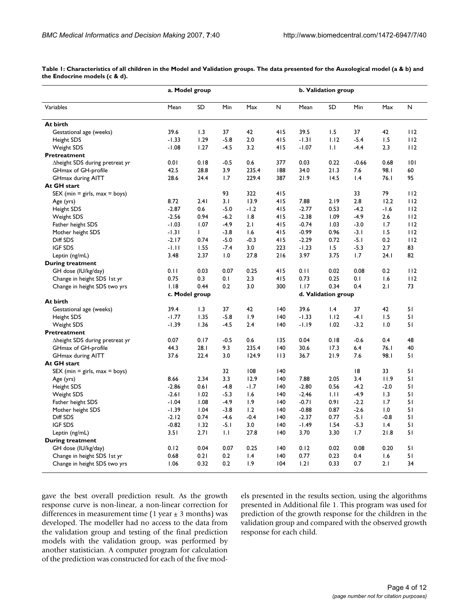|                                        | a. Model group |                |        |        |     | b. Validation group |                     |         |        |     |
|----------------------------------------|----------------|----------------|--------|--------|-----|---------------------|---------------------|---------|--------|-----|
| Variables                              | Mean           | <b>SD</b>      | Min    | Max    | Ν   | Mean                | SD                  | Min     | Max    | N   |
| At birth                               |                |                |        |        |     |                     |                     |         |        |     |
| Gestational age (weeks)                | 39.6           | 1.3            | 37     | 42     | 415 | 39.5                | 1.5                 | 37      | 42     | 112 |
| Height SDS                             | $-1.33$        | 1.29           | $-5.8$ | 2.0    | 415 | $-1.31$             | 1.12                | $-5.4$  | 1.5    | 112 |
| Weight SDS                             | $-1.08$        | 1.27           | $-4.5$ | 3.2    | 415 | $-1.07$             | IJ                  | $-4.4$  | 2.3    | 112 |
| Pretreatment                           |                |                |        |        |     |                     |                     |         |        |     |
| $\Delta$ height SDS during pretreat yr | 0.01           | 0.18           | $-0.5$ | 0.6    | 377 | 0.03                | 0.22                | $-0.66$ | 0.68   | 0   |
| GHmax of GH-profile                    | 42.5           | 28.8           | 3.9    | 235.4  | 188 | 34.0                | 21.3                | 7.6     | 98.I   | 60  |
| <b>GHmax during AITT</b>               | 28.6           | 24.4           | 1.7    | 229.4  | 387 | 21.9                | 14.5                | 1.4     | 76.I   | 95  |
| At GH start                            |                |                |        |        |     |                     |                     |         |        |     |
| $SEX$ (min = girls, max = boys)        |                |                | 93     | 322    | 415 |                     |                     | 33      | 79     | 112 |
| Age (yrs)                              | 8.72           | 2.41           | 3.1    | 13.9   | 415 | 7.88                | 2.19                | 2.8     | 12.2   | 112 |
| Height SDS                             | $-2.87$        | 0.6            | $-5.0$ | $-1.2$ | 415 | $-2.77$             | 0.53                | $-4.2$  | $-1.6$ | 112 |
| Weight SDS                             | $-2.56$        | 0.94           | $-6.2$ | 1.8    | 415 | $-2.38$             | 1.09                | $-4.9$  | 2.6    | 112 |
| Father height SDS                      | $-1.03$        | 1.07           | $-4.9$ | 2.1    | 415 | $-0.74$             | 1.03                | $-3.0$  | 1.7    | 112 |
| Mother height SDS                      | $-1.31$        | L              | $-3.8$ | 1.6    | 415 | $-0.99$             | 0.96                | $-3.1$  | 1.5    | 112 |
| Diff SDS                               | $-2.17$        | 0.74           | $-5.0$ | $-0.3$ | 415 | $-2.29$             | 0.72                | $-5.1$  | 0.2    | 112 |
| <b>IGF SDS</b>                         | $-1.11$        | 1.55           | $-7.4$ | 3.0    | 223 | $-1.23$             | 1.5                 | $-5.3$  | 2.7    | 83  |
| Leptin (ng/mL)                         | 3.48           | 2.37           | 1.0    | 27.8   | 216 | 3.97                | 3.75                | 1.7     | 24.1   | 82  |
| <b>During treatment</b>                |                |                |        |        |     |                     |                     |         |        |     |
| GH dose (IU/kg/day)                    | 0.11           | 0.03           | 0.07   | 0.25   | 415 | 0.11                | 0.02                | 0.08    | 0.2    | 112 |
| Change in height SDS 1st yr            | 0.75           | 0.3            | 0.1    | 2.3    | 415 | 0.73                | 0.25                | 0.1     | 1.6    | 112 |
| Change in height SDS two yrs           | 1.18           | 0.44           | 0.2    | 3.0    | 300 | 1.17                | 0.34                | 0.4     | 2.1    | 73  |
|                                        |                | c. Model group |        |        |     |                     | d. Validation group |         |        |     |
| At birth                               |                |                |        |        |     |                     |                     |         |        |     |
| Gestational age (weeks)                | 39.4           | 1.3            | 37     | 42     | 140 | 39.6                | $\mathsf{I}$ .4     | 37      | 42     | 51  |
| Height SDS                             | $-1.77$        | 1.35           | $-5.8$ | 1.9    | 140 | $-1.33$             | 1.12                | $-4.1$  | 1.5    | 51  |
| Weight SDS                             | $-1.39$        | 1.36           | $-4.5$ | 2.4    | 140 | $-1.19$             | 1.02                | $-3.2$  | 1.0    | 51  |
| Pretreatment                           |                |                |        |        |     |                     |                     |         |        |     |
| $\Delta$ height SDS during pretreat yr | 0.07           | 0.17           | $-0.5$ | 0.6    | 135 | 0.04                | 0.18                | $-0.6$  | 0.4    | 48  |
| GHmax of GH-profile                    | 44.3           | 28.1           | 9.3    | 235.4  | 140 | 30.6                | 17.3                | 6.4     | 76.I   | 40  |
| <b>GHmax during AITT</b>               | 37.6           | 22.4           | 3.0    | 124.9  | 113 | 36.7                | 21.9                | 7.6     | 98.I   | 51  |
| At GH start                            |                |                |        |        |     |                     |                     |         |        |     |
| $SEX$ (min = girls, max = boys)        |                |                | 32     | 108    | 140 |                     |                     | 18      | 33     | 51  |
| Age (yrs)                              | 8.66           | 2.34           | 3.3    | 12.9   | 140 | 7.88                | 2.05                | 3.4     | 11.9   | 51  |
| Height SDS                             | $-2.86$        | 0.61           | $-4.8$ | $-1.7$ | 140 | $-2.80$             | 0.56                | $-4.2$  | $-2.0$ | 51  |
| Weight SDS                             | $-2.61$        | 1.02           | $-5.3$ | 1.6    | 140 | $-2.46$             | 1.11                | $-4.9$  | 1.3    | 51  |
| Father height SDS                      | $-1.04$        | 1.08           | $-4.9$ | 1.9    | 140 | $-0.71$             | 0.91                | $-2.2$  | 1.7    | 51  |
| Mother height SDS                      | $-1.39$        | 1.04           | $-3.8$ | 1.2    | 140 | $-0.88$             | 0.87                | $-2.6$  | 1.0    | 51  |
| Diff SDS                               | $-2.12$        | 0.74           | $-4.6$ | $-0.4$ | 140 | $-2.37$             | 0.77                | $-5.1$  | $-0.8$ | 51  |
| <b>IGF SDS</b>                         | $-0.82$        | 1.32           | $-5.1$ | 3.0    | 140 | $-1.49$             | 1.54                | $-5.3$  | 1.4    | 51  |
| Leptin (ng/mL)                         | 3.51           | 2.71           | 1.1    | 27.8   | 140 | 3.70                | 3.30                | 1.7     | 21.8   | 51  |
| <b>During treatment</b>                |                |                |        |        |     |                     |                     |         |        |     |
| GH dose (IU/kg/day)                    | 0.12           | 0.04           | 0.07   | 0.25   | 140 | 0.12                | 0.02                | 0.08    | 0.20   | 51  |
| Change in height SDS 1st yr            | 0.68           | 0.21           | 0.2    | 1.4    | 40  | 0.77                | 0.23                | 0.4     | 1.6    | 51  |
| Change in height SDS two yrs           | 1.06           | 0.32           | 0.2    | 1.9    | 104 | 1.21                | 0.33                | 0.7     | 2.1    | 34  |

**Table 1: Characteristics of all children in the Model and Validation groups. The data presented for the Auxological model (a & b) and the Endocrine models (c & d).**

gave the best overall prediction result. As the growth response curve is non-linear, a non-linear correction for differences in measurement time (1 year  $\pm$  3 months) was developed. The modeller had no access to the data from the validation group and testing of the final prediction models with the validation group, was performed by another statistician. A computer program for calculation of the prediction was constructed for each of the five models presented in the results section, using the algorithms presented in Additional file 1. This program was used for prediction of the growth response for the children in the validation group and compared with the observed growth response for each child.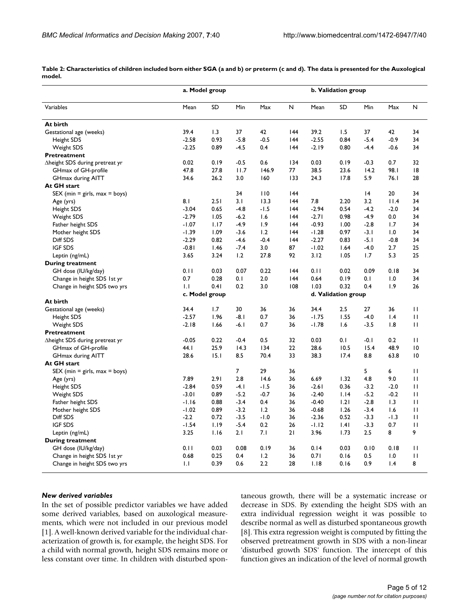**Table 2: Characteristics of children included born either SGA (a and b) or preterm (c and d). The data is presented for the Auxological model.**

|                                        | a. Model group |      |                |        |     | b. Validation group |                     |        |                 |              |  |
|----------------------------------------|----------------|------|----------------|--------|-----|---------------------|---------------------|--------|-----------------|--------------|--|
| Variables                              | Mean           | SD   | Min            | Max    | N   | Mean                | SD                  | Min    | Max             | N            |  |
| At birth                               |                |      |                |        |     |                     |                     |        |                 |              |  |
| Gestational age (weeks)                | 39.4           | 1.3  | 37             | 42     | 144 | 39.2                | 1.5                 | 37     | 42              | 34           |  |
| Height SDS                             | $-2.58$        | 0.93 | $-5.8$         | $-0.5$ | 144 | $-2.55$             | 0.84                | $-5.4$ | $-0.9$          | 34           |  |
| Weight SDS                             | $-2.25$        | 0.89 | $-4.5$         | 0.4    | 144 | $-2.19$             | 0.80                | $-4.4$ | $-0.6$          | 34           |  |
| Pretreatment                           |                |      |                |        |     |                     |                     |        |                 |              |  |
| Aheight SDS during pretreat yr         | 0.02           | 0.19 | $-0.5$         | 0.6    | 134 | 0.03                | 0.19                | $-0.3$ | 0.7             | 32           |  |
| GHmax of GH-profile                    | 47.8           | 27.8 | 11.7           | 146.9  | 77  | 38.5                | 23.6                | 14.2   | 98.I            | 18           |  |
| GHmax during AITT                      | 34.6           | 26.2 | 3.0            | 160    | 133 | 24.3                | 17.8                | 5.9    | 76.1            | 28           |  |
| At GH start                            |                |      |                |        |     |                     |                     |        |                 |              |  |
| $SEX$ (min = girls, max = boys)        |                |      | 34             | 110    | 144 |                     |                     | 4      | 20              | 34           |  |
| Age (yrs)                              | 8.1            | 2.51 | 3.1            | 13.3   | 144 | 7.8                 | 2.20                | 3.2    | 11.4            | 34           |  |
| Height SDS                             | $-3.04$        | 0.65 | $-4.8$         | $-1.5$ | 144 | $-2.94$             | 0.54                | $-4.2$ | $-2.0$          | 34           |  |
| Weight SDS                             | $-2.79$        | 1.05 | $-6.2$         | 1.6    | 144 | $-2.71$             | 0.98                | $-4.9$ | 0.0             | 34           |  |
| Father height SDS                      | $-1.07$        | 1.17 | $-4.9$         | 1.9    | 144 | $-0.93$             | 1.00                | $-2.8$ | 1.7             | 34           |  |
| Mother height SDS                      | $-1.39$        | 1.09 | $-3.6$         | 1.2    | 144 | $-1.28$             | 0.97                | $-3.1$ | 1.0             | 34           |  |
| Diff SDS                               | $-2.29$        | 0.82 | $-4.6$         | $-0.4$ | 144 | $-2.27$             | 0.83                | $-5.1$ | $-0.8$          | 34           |  |
| <b>IGF SDS</b>                         | $-0.81$        | 1.46 | $-7.4$         | 3.0    | 87  | $-1.02$             | 1.64                | $-4.0$ | 2.7             | 25           |  |
|                                        | 3.65           | 3.24 | 1.2            | 27.8   | 92  | 3.12                | 1.05                | 1.7    | 5.3             | 25           |  |
| Leptin (ng/mL)                         |                |      |                |        |     |                     |                     |        |                 |              |  |
| <b>During treatment</b>                |                |      |                |        |     |                     |                     |        |                 |              |  |
| GH dose (IU/kg/day)                    | 0.11           | 0.03 | 0.07           | 0.22   | 144 | 0.11                | 0.02                | 0.09   | 0.18            | 34           |  |
| Change in height SDS 1st yr            | 0.7            | 0.28 | 0.1            | 2.0    | 144 | 0.64                | 0.19                | 0.1    | 1.0             | 34           |  |
| Change in height SDS two yrs           | $\mathsf{L}$   | 0.41 | 0.2            | 3.0    | 108 | 1.03                | 0.32                | 0.4    | 1.9             | 26           |  |
|                                        | c. Model group |      |                |        |     |                     | d. Validation group |        |                 |              |  |
| At birth                               |                |      |                |        |     |                     |                     |        |                 |              |  |
| Gestational age (weeks)                | 34.4           | 1.7  | 30             | 36     | 36  | 34.4                | 2.5                 | 27     | 36              | П            |  |
| Height SDS                             | $-2.57$        | 1.96 | $-8.1$         | 0.7    | 36  | $-1.75$             | 1.55                | $-4.0$ | $\mathsf{I}$ .4 | $\mathbf{H}$ |  |
| Weight SDS                             | $-2.18$        | 1.66 | $-6.1$         | 0.7    | 36  | $-1.78$             | 1.6                 | $-3.5$ | 1.8             | П            |  |
| Pretreatment                           |                |      |                |        |     |                     |                     |        |                 |              |  |
| $\Delta$ height SDS during pretreat yr | $-0.05$        | 0.22 | $-0.4$         | 0.5    | 32  | 0.03                | 0.1                 | $-0.1$ | 0.2             | $\mathbf{H}$ |  |
| GHmax of GH-profile                    | 44.I           | 25.9 | 14.3           | 134    | 22  | 28.6                | 10.5                | 15.4   | 48.9            | 10           |  |
| GHmax during AITT                      | 28.6           | 15.1 | 8.5            | 70.4   | 33  | 38.3                | 17.4                | 8.8    | 63.8            | 10           |  |
| At GH start                            |                |      |                |        |     |                     |                     |        |                 |              |  |
| $SEX$ (min = girls, max = boys)        |                |      | $\overline{7}$ | 29     | 36  |                     |                     | 5      | 6               | П            |  |
| Age (yrs)                              | 7.89           | 2.91 | 2.8            | 14.6   | 36  | 6.69                | 1.32                | 4.8    | 9.0             | П            |  |
| Height SDS                             | $-2.84$        | 0.59 | $-4.1$         | $-1.5$ | 36  | $-2.61$             | 0.36                | $-3.2$ | $-2.0$          | П            |  |
| Weight SDS                             | $-3.01$        | 0.89 | $-5.2$         | $-0.7$ | 36  | $-2.40$             | 1.14                | $-5.2$ | $-0.2$          | П            |  |
| Father height SDS                      | $-1.16$        | 0.88 | $-3.4$         | 0.4    | 36  | $-0.40$             | 1.21                | $-2.8$ | 1.3             | П            |  |
| Mother height SDS                      | $-1.02$        | 0.89 | $-3.2$         | 1.2    | 36  | $-0.68$             | 1.26                | $-3.4$ | 1.6             | П            |  |
| Diff SDS                               | $-2.2$         | 0.72 | $-3.5$         | $-1.0$ | 36  | $-2.36$             | 0.52                | $-3.3$ | $-1.3$          | П            |  |
| <b>IGF SDS</b>                         | $-1.54$        | 1.19 | $-5.4$         | 0.2    | 26  | $-1.12$             | .4                  | $-3.3$ | 0.7             | П            |  |
| Leptin (ng/mL)                         | 3.25           | 1.16 | 2.1            | 7.1    | 21  | 3.96                | 1.73                | 2.5    | 8               | 9            |  |
| <b>During treatment</b>                |                |      |                |        |     |                     |                     |        |                 |              |  |
| GH dose (IU/kg/day)                    | 0.11           | 0.03 | 0.08           | 0.19   | 36  | 0.14                | 0.03                | 0.10   | 0.18            | П            |  |
| Change in height SDS 1st yr            | 0.68           | 0.25 | 0.4            | 1.2    | 36  | 0.71                | 0.16                | 0.5    | 1.0             | П            |  |
| Change in height SDS two yrs           | $\mathsf{L}$   | 0.39 | 0.6            | 2.2    | 28  | 1.18                | 0.16                | 0.9    | 1.4             | 8            |  |

#### *New derived variables*

In the set of possible predictor variables we have added some derived variables, based on auxological measurements, which were not included in our previous model [1]. A well-known derived variable for the individual characterization of growth is, for example, the height SDS. For a child with normal growth, height SDS remains more or less constant over time. In children with disturbed spontaneous growth, there will be a systematic increase or decrease in SDS. By extending the height SDS with an extra individual regression weight it was possible to describe normal as well as disturbed spontaneous growth [8]. This extra regression weight is computed by fitting the observed pretreatment growth in SDS with a non-linear 'disturbed growth SDS' function. The intercept of this function gives an indication of the level of normal growth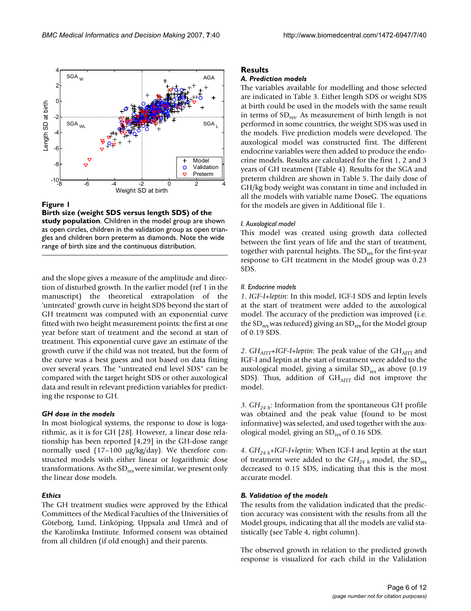

**Figure 1** 

**Birth size (weight SDS versus length SDS) of the study population**. Children in the model group are shown as open circles, children in the validation group as open triangles and children born preterm as diamonds. Note the wide range of birth size and the continuous distribution.

and the slope gives a measure of the amplitude and direction of disturbed growth. In the earlier model (ref 1 in the manuscript) the theoretical extrapolation of the 'untreated' growth curve in height SDS beyond the start of GH treatment was computed with an exponential curve fitted with two height measurement points: the first at one year before start of treatment and the second at start of treatment. This exponential curve gave an estimate of the growth curve if the child was not treated, but the form of the curve was a best guess and not based on data fitting over several years. The "untreated end level SDS" can be compared with the target height SDS or other auxological data and result in relevant prediction variables for predicting the response to GH.

#### *GH dose in the models*

In most biological systems, the response to dose is logarithmic, as it is for GH [28]. However, a linear dose relationship has been reported [4,29] in the GH-dose range normally used  $(17-100 \text{ µg/kg/day})$ . We therefore constructed models with either linear or logarithmic dose transformations. As the  $SD_{res}$  were similar, we present only the linear dose models.

#### *Ethics*

The GH treatment studies were approved by the Ethical Committees of the Medical Faculties of the Universities of Göteborg, Lund, Linköping, Uppsala and Umeå and of the Karolinska Institute. Informed consent was obtained from all children (if old enough) and their parents.

#### **Results**

#### *A. Prediction models*

The variables available for modelling and those selected are indicated in Table 3. Either length SDS or weight SDS at birth could be used in the models with the same result in terms of  $SD<sub>res</sub>$ . As measurement of birth length is not performed in some countries, the weight SDS was used in the models. Five prediction models were developed. The auxological model was constructed first. The different endocrine variables were then added to produce the endocrine models. Results are calculated for the first 1, 2 and 3 years of GH treatment (Table 4). Results for the SGA and preterm children are shown in Table 5. The daily dose of GH/kg body weight was constant in time and included in all the models with variable name DoseG. The equations for the models are given in Additional file 1.

#### *I. Auxological model*

This model was created using growth data collected between the first years of life and the start of treatment, together with parental heights. The SD<sub>res</sub> for the first-year response to GH treatment in the Model group was 0.23 SDS.

#### *II. Endocrine models*

*1*. *IGF-I+leptin*: In this model, IGF-I SDS and leptin levels at the start of treatment were added to the auxological model. The accuracy of the prediction was improved (i.e. the  $SD_{res}$  was reduced) giving an  $SD_{res}$  for the Model group of 0.19 SDS.

2. *GH<sub>AITT</sub>*+IGF-I+leptin: The peak value of the GH<sub>AITT</sub> and IGF-I and leptin at the start of treatment were added to the auxological model, giving a similar  $SD_{res}$  as above (0.19 SDS). Thus, addition of  $GH_{\text{ATT}}$  did not improve the model.

*3*.  $GH_{24 h}$ : Information from the spontaneous GH profile was obtained and the peak value (found to be most informative) was selected, and used together with the auxological model, giving an SD<sub>res</sub> of 0.16 SDS.

*4*. *GH24 h*+*IGF-I+leptin*: When IGF-I and leptin at the start of treatment were added to the *GH*<sub>24</sub> *h* model, the SD<sub>res</sub> decreased to 0.15 SDS, indicating that this is the most accurate model.

#### *B. Validation of the models*

The results from the validation indicated that the prediction accuracy was consistent with the results from all the Model groups, indicating that all the models are valid statistically (see Table 4, right column).

The observed growth in relation to the predicted growth response is visualized for each child in the Validation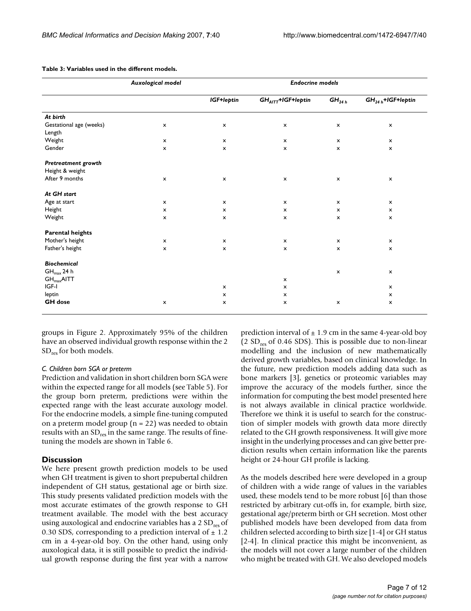|                                   | Auxological model         |                           | <b>Endocrine models</b>   |                           |                           |
|-----------------------------------|---------------------------|---------------------------|---------------------------|---------------------------|---------------------------|
|                                   |                           | IGF+leptin                | $GHAITT+IGF+leptin$       | $GH_{24h}$                | $GH24 h+IGF+leptin$       |
| At birth                          |                           |                           |                           |                           |                           |
| Gestational age (weeks)<br>Length | x                         | $\pmb{\times}$            | $\pmb{\times}$            | $\pmb{\times}$            | $\mathsf{x}$              |
| Weight                            | $\boldsymbol{\mathsf{x}}$ | $\mathsf{x}$              | $\boldsymbol{\mathsf{x}}$ | $\mathsf{x}$              | $\boldsymbol{\mathsf{x}}$ |
| Gender                            | $\pmb{\times}$            | $\pmb{\mathsf{x}}$        | $\pmb{\times}$            | $\pmb{\times}$            | $\pmb{\times}$            |
| Pretreatment growth               |                           |                           |                           |                           |                           |
| Height & weight                   |                           |                           |                           |                           |                           |
| After 9 months                    | x                         | $\pmb{\mathsf{x}}$        | $\pmb{\mathsf{x}}$        | $\pmb{\times}$            | $\pmb{\mathsf{x}}$        |
| At GH start                       |                           |                           |                           |                           |                           |
| Age at start                      | $\pmb{\times}$            | $\mathsf{x}$              | $\boldsymbol{\mathsf{x}}$ | $\pmb{\times}$            | $\mathsf{x}$              |
| Height                            | $\boldsymbol{\mathsf{x}}$ | $\boldsymbol{\mathsf{x}}$ | $\boldsymbol{\mathsf{x}}$ | $\boldsymbol{\mathsf{x}}$ | $\boldsymbol{\mathsf{x}}$ |
| Weight                            | $\boldsymbol{\mathsf{x}}$ | $\pmb{\times}$            | $\boldsymbol{\mathsf{x}}$ | $\mathsf{x}$              | $\boldsymbol{\mathsf{x}}$ |
| <b>Parental heights</b>           |                           |                           |                           |                           |                           |
| Mother's height                   | $\mathsf{x}$              | $\mathsf{x}$              | $\boldsymbol{\mathsf{x}}$ | $\boldsymbol{\mathsf{x}}$ | $\boldsymbol{\mathsf{x}}$ |
| Father's height                   | $\pmb{\times}$            | $\pmb{\times}$            | $\pmb{\times}$            | $\pmb{\times}$            | $\pmb{\times}$            |
| <b>Biochemical</b>                |                           |                           |                           |                           |                           |
| $GH_{\text{max}}$ 24 h            |                           |                           |                           | $\pmb{\times}$            | $\boldsymbol{\mathsf{x}}$ |
| $GH_{\text{max}}$ AITT            |                           |                           | $\pmb{\times}$            |                           |                           |
| IGF-I                             |                           | $\boldsymbol{\mathsf{x}}$ | $\boldsymbol{\mathsf{x}}$ |                           | $\mathsf{x}$              |
| leptin                            |                           | $\boldsymbol{\mathsf{x}}$ | $\boldsymbol{\mathsf{x}}$ |                           | $\boldsymbol{\mathsf{x}}$ |
| <b>GH</b> dose                    | $\pmb{\times}$            | $\boldsymbol{\mathsf{x}}$ | $\pmb{\times}$            | $\pmb{\times}$            | $\pmb{\times}$            |

**Table 3: Variables used in the different models.**

groups in Figure 2. Approximately 95% of the children have an observed individual growth response within the 2 SD<sub>res</sub> for both models.

#### *C. Children born SGA or preterm*

Prediction and validation in short children born SGA were within the expected range for all models (see Table 5). For the group born preterm, predictions were within the expected range with the least accurate auxology model. For the endocrine models, a simple fine-tuning computed on a preterm model group ( $n = 22$ ) was needed to obtain results with an SD<sub>res</sub> in the same range. The results of finetuning the models are shown in Table 6.

#### **Discussion**

We here present growth prediction models to be used when GH treatment is given to short prepubertal children independent of GH status, gestational age or birth size. This study presents validated prediction models with the most accurate estimates of the growth response to GH treatment available. The model with the best accuracy using auxological and endocrine variables has a  $2 SD_{res}$  of 0.30 SDS, corresponding to a prediction interval of  $\pm$  1.2 cm in a 4-year-old boy. On the other hand, using only auxological data, it is still possible to predict the individual growth response during the first year with a narrow

prediction interval of  $\pm$  1.9 cm in the same 4-year-old boy (2  $SD_{res}$  of 0.46 SDS). This is possible due to non-linear modelling and the inclusion of new mathematically derived growth variables, based on clinical knowledge. In the future, new prediction models adding data such as bone markers [3], genetics or proteomic variables may improve the accuracy of the models further, since the information for computing the best model presented here is not always available in clinical practice worldwide. Therefore we think it is useful to search for the construction of simpler models with growth data more directly related to the GH growth responsiveness. It will give more insight in the underlying processes and can give better prediction results when certain information like the parents height or 24-hour GH profile is lacking.

As the models described here were developed in a group of children with a wide range of values in the variables used, these models tend to be more robust [6] than those restricted by arbitrary cut-offs in, for example, birth size, gestational age/preterm birth or GH secretion. Most other published models have been developed from data from children selected according to birth size [1-4] or GH status [2-4]. In clinical practice this might be inconvenient, as the models will not cover a large number of the children who might be treated with GH. We also developed models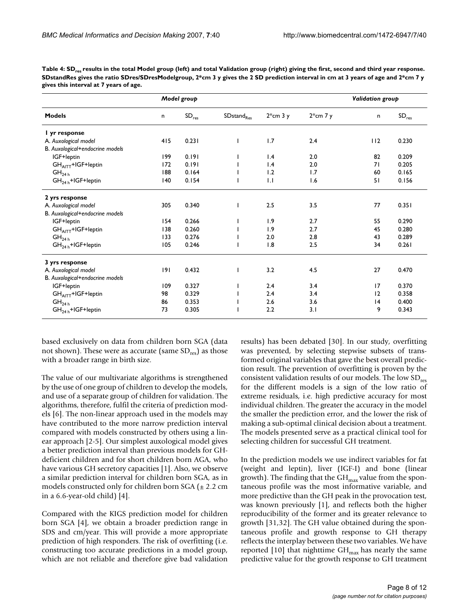|                                 |     | Model group                | Validation group       |            |            |     |                   |
|---------------------------------|-----|----------------------------|------------------------|------------|------------|-----|-------------------|
| <b>Models</b>                   | n   | $\mathsf{SD}_\mathsf{res}$ | SDstand <sub>Res</sub> | $2*cm$ 3 y | $2*cm$ 7 y | n   | SD <sub>res</sub> |
| I yr response                   |     |                            |                        |            |            |     |                   |
| A. Auxological model            | 415 | 0.231                      |                        | 1.7        | 2.4        | 112 | 0.230             |
| B. Auxological+endocrine models |     |                            |                        |            |            |     |                   |
| IGF+leptin                      | 199 | 0.191                      |                        | 1.4        | 2.0        | 82  | 0.209             |
| GHAITT+IGF+leptin               | 172 | 0.191                      |                        | 1.4        | 2.0        | 71  | 0.205             |
| GH <sub>24 h</sub>              | 188 | 0.164                      |                        | 1.2        | 1.7        | 60  | 0.165             |
| $GH24 h+IGF+leptin$             | 140 | 0.154                      |                        | 1.1        | 1.6        | 51  | 0.156             |
| 2 yrs response                  |     |                            |                        |            |            |     |                   |
| A. Auxological model            | 305 | 0.340                      |                        | 2.5        | 3.5        | 77  | 0.351             |
| B. Auxological+endocrine models |     |                            |                        |            |            |     |                   |
| IGF+leptin                      | 154 | 0.266                      |                        | 1.9        | 2.7        | 55  | 0.290             |
| GHAITT+IGF+leptin               | 138 | 0.260                      |                        | 1.9        | 2.7        | 45  | 0.280             |
| GH <sub>24 h</sub>              | 133 | 0.276                      |                        | 2.0        | 2.8        | 43  | 0.289             |
| $GH24 h+IGF+leptin$             | 105 | 0.246                      |                        | 1.8        | 2.5        | 34  | 0.261             |
| 3 yrs response                  |     |                            |                        |            |            |     |                   |
| A. Auxological model            | 9   | 0.432                      |                        | 3.2        | 4.5        | 27  | 0.470             |
| B. Auxological+endocrine models |     |                            |                        |            |            |     |                   |
| IGF+leptin                      | 109 | 0.327                      |                        | 2.4        | 3.4        | 17  | 0.370             |
| GHAITT+IGF+leptin               | 98  | 0.329                      |                        | 2.4        | 3.4        | 12  | 0.358             |
| GH <sub>24 h</sub>              | 86  | 0.353                      |                        | 2.6        | 3.6        | 4   | 0.400             |
| $GH24 h+IGF+leptin$             | 73  | 0.305                      |                        | 2.2        | 3.1        | 9   | 0.343             |

Table 4: SD<sub>res</sub> results in the total Model group (left) and total Validation group (right) giving the first, second and third year response. **SDstandRes gives the ratio SDres/SDresModelgroup, 2\*cm 3 y gives the 2 SD prediction interval in cm at 3 years of age and 2\*cm 7 y gives this interval at 7 years of age.**

based exclusively on data from children born SGA (data not shown). These were as accurate (same  $SD_{res}$ ) as those with a broader range in birth size.

The value of our multivariate algorithms is strengthened by the use of one group of children to develop the models, and use of a separate group of children for validation. The algorithms, therefore, fulfil the criteria of prediction models [6]. The non-linear approach used in the models may have contributed to the more narrow prediction interval compared with models constructed by others using a linear approach [2-5]. Our simplest auxological model gives a better prediction interval than previous models for GHdeficient children and for short children born AGA, who have various GH secretory capacities [1]. Also, we observe a similar prediction interval for children born SGA, as in models constructed only for children born SGA  $(\pm 2.2 \text{ cm})$ in a 6.6-year-old child) [4].

Compared with the KIGS prediction model for children born SGA [4], we obtain a broader prediction range in SDS and cm/year. This will provide a more appropriate prediction of high responders. The risk of overfitting (i.e. constructing too accurate predictions in a model group, which are not reliable and therefore give bad validation

results) has been debated [30]. In our study, overfitting was prevented, by selecting stepwise subsets of transformed original variables that gave the best overall prediction result. The prevention of overfitting is proven by the consistent validation results of our models. The low SD<sub>res</sub> for the different models is a sign of the low ratio of extreme residuals, i.e. high predictive accuracy for most individual children. The greater the accuracy in the model the smaller the prediction error, and the lower the risk of making a sub-optimal clinical decision about a treatment. The models presented serve as a practical clinical tool for selecting children for successful GH treatment.

In the prediction models we use indirect variables for fat (weight and leptin), liver (IGF-I) and bone (linear growth). The finding that the  $GH_{max}$  value from the spontaneous profile was the most informative variable, and more predictive than the GH peak in the provocation test, was known previously [1], and reflects both the higher reproducibility of the former and its greater relevance to growth [31,32]. The GH value obtained during the spontaneous profile and growth response to GH therapy reflects the interplay between these two variables. We have reported [10] that nighttime  $GH_{max}$  has nearly the same predictive value for the growth response to GH treatment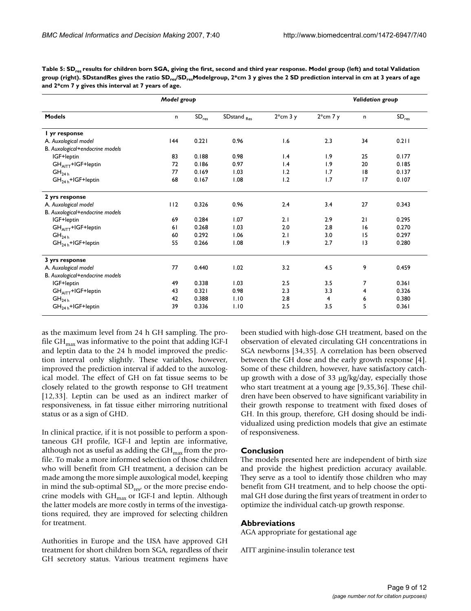| Table 5: SD <sub>rrs</sub> results for children born SGA, giving the first, second and third year response. Model group (left) and total Validation            |
|----------------------------------------------------------------------------------------------------------------------------------------------------------------|
| group (right). SDstandRes gives the ratio SD <sub>res</sub> /SD <sub>res</sub> Modelgroup, 2*cm 3 y gives the 2 SD prediction interval in cm at 3 years of age |
| and $2*$ cm $7$ y gives this interval at $7$ years of age.                                                                                                     |

|                                  | Model group |                            |                        |                 | Validation group |    |            |
|----------------------------------|-------------|----------------------------|------------------------|-----------------|------------------|----|------------|
| <b>Models</b>                    | n           | $\mathsf{SD}_\mathsf{res}$ | SDstand <sub>Res</sub> | $2*cm$ 3 y      | $2*cm$ 7 y       | n  | $SD_{res}$ |
| I yr response                    |             |                            |                        |                 |                  |    |            |
| A. Auxological model             | 144         | 0.221                      | 0.96                   | 1.6             | 2.3              | 34 | 0.211      |
| B. Auxological+endocrine models  |             |                            |                        |                 |                  |    |            |
| IGF+leptin                       | 83          | 0.188                      | 0.98                   | 1.4             | 1.9              | 25 | 0.177      |
| $GH_{\text{ATT}} + IGF + leptin$ | 72          | 0.186                      | 0.97                   | $\mathsf{I}$ .4 | 1.9              | 20 | 0.185      |
| GH <sub>24 h</sub>               | 77          | 0.169                      | 1.03                   | 1.2             | 1.7              | 8  | 0.137      |
| $GH24 h+IGF+leptin$              | 68          | 0.167                      | 1.08                   | 1.2             | 1.7              | 17 | 0.107      |
| 2 yrs response                   |             |                            |                        |                 |                  |    |            |
| A. Auxological model             | 112         | 0.326                      | 0.96                   | 2.4             | 3.4              | 27 | 0.343      |
| B. Auxological+endocrine models  |             |                            |                        |                 |                  |    |            |
| IGF+leptin                       | 69          | 0.284                      | 1.07                   | 2.1             | 2.9              | 21 | 0.295      |
| GHAITT+IGF+leptin                | 61          | 0.268                      | 1.03                   | 2.0             | 2.8              | 16 | 0.270      |
| GH <sub>24 h</sub>               | 60          | 0.292                      | 1.06                   | 2.1             | 3.0              | 15 | 0.297      |
| $GH24 h+IGF+leptin$              | 55          | 0.266                      | 1.08                   | 1.9             | 2.7              | 3  | 0.280      |
| 3 yrs response                   |             |                            |                        |                 |                  |    |            |
| A. Auxological model             | 77          | 0.440                      | 1.02                   | 3.2             | 4.5              | 9  | 0.459      |
| B. Auxological+endocrine models  |             |                            |                        |                 |                  |    |            |
| IGF+leptin                       | 49          | 0.338                      | 1.03                   | 2.5             | 3.5              | 7  | 0.361      |
| GHAITT+IGF+leptin                | 43          | 0.321                      | 0.98                   | 2.3             | 3.3              | 4  | 0.326      |
| GH <sub>24 h</sub>               | 42          | 0.388                      | 1.10                   | 2.8             | 4                | 6  | 0.380      |
| $GH24 h+IGF+leptin$              | 39          | 0.336                      | 1.10                   | 2.5             | 3.5              | 5  | 0.361      |

as the maximum level from 24 h GH sampling. The profile  $GH_{\text{max}}$  was informative to the point that adding IGF-I and leptin data to the 24 h model improved the prediction interval only slightly. These variables, however, improved the prediction interval if added to the auxological model. The effect of GH on fat tissue seems to be closely related to the growth response to GH treatment [12,33]. Leptin can be used as an indirect marker of responsiveness, in fat tissue either mirroring nutritional status or as a sign of GHD.

In clinical practice, if it is not possible to perform a spontaneous GH profile, IGF-I and leptin are informative, although not as useful as adding the  $GH_{\text{max}}$  from the profile. To make a more informed selection of those children who will benefit from GH treatment, a decision can be made among the more simple auxological model, keeping in mind the sub-optimal  $SD_{res}$ , or the more precise endocrine models with GH<sub>max</sub> or IGF-I and leptin. Although the latter models are more costly in terms of the investigations required, they are improved for selecting children for treatment.

Authorities in Europe and the USA have approved GH treatment for short children born SGA, regardless of their GH secretory status. Various treatment regimens have

been studied with high-dose GH treatment, based on the observation of elevated circulating GH concentrations in SGA newborns [34,35]. A correlation has been observed between the GH dose and the early growth response [4]. Some of these children, however, have satisfactory catchup growth with a dose of 33  $\mu$ g/kg/day, especially those who start treatment at a young age [9,35,36]. These children have been observed to have significant variability in their growth response to treatment with fixed doses of GH. In this group, therefore, GH dosing should be individualized using prediction models that give an estimate of responsiveness.

#### **Conclusion**

The models presented here are independent of birth size and provide the highest prediction accuracy available. They serve as a tool to identify those children who may benefit from GH treatment, and to help choose the optimal GH dose during the first years of treatment in order to optimize the individual catch-up growth response.

#### **Abbreviations**

AGA appropriate for gestational age

AITT arginine-insulin tolerance test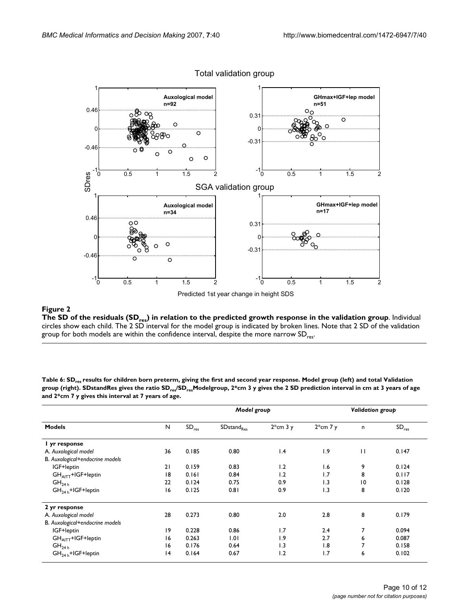

Total validation group

The SD of the residuals (SDP) in relation to the predicted growth relation to the predicted growth response in the validation group  $\mathcal{L}$ **The SD of the residuals (SDres) in relation to the predicted growth response in the validation group**. Individual circles show each child. The 2 SD interval for the model group is indicated by broken lines. Note that 2 SD of the validation group for both models are within the confidence interval, despite the more narrow  $SD_{res}$ .

| <b>Models</b>                   |              |                   | Model group            |            | Validation group |                 |                   |  |
|---------------------------------|--------------|-------------------|------------------------|------------|------------------|-----------------|-------------------|--|
|                                 | $\mathsf{N}$ | SD <sub>res</sub> | SDstand <sub>Res</sub> | $2*cm$ 3 y | $2*cm$ 7 y       | n               | SD <sub>res</sub> |  |
| I yr response                   |              |                   |                        |            |                  |                 |                   |  |
| A. Auxological model            | 36           | 0.185             | 0.80                   | 1.4        | 1.9              | П               | 0.147             |  |
| B. Auxological+endocrine models |              |                   |                        |            |                  |                 |                   |  |
| IGF+leptin                      | 21           | 0.159             | 0.83                   | 1.2        | 1.6              | 9               | 0.124             |  |
| $GHAITT+IGF+leptin$             | 18           | 0.161             | 0.84                   | 1.2        | 1.7              | 8               | 0.117             |  |
| GH <sub>24 h</sub>              | 22           | 0.124             | 0.75                   | 0.9        | 1.3              | $\overline{10}$ | 0.128             |  |
| $GH24 h+IGF+leptin$             | 16           | 0.125             | 0.81                   | 0.9        | 1.3              | 8               | 0.120             |  |
| 2 yr response                   |              |                   |                        |            |                  |                 |                   |  |
| A. Auxological model            | 28           | 0.273             | 0.80                   | 2.0        | 2.8              | 8               | 0.179             |  |
| B. Auxological+endocrine models |              |                   |                        |            |                  |                 |                   |  |
| IGF+leptin                      | 19           | 0.228             | 0.86                   | 1.7        | 2.4              | 7               | 0.094             |  |
| GHAITT+IGF+leptin               | 16           | 0.263             | 1.01                   | 1.9        | 2.7              | 6               | 0.087             |  |
| GH <sub>24 h</sub>              | 16           | 0.176             | 0.64                   | 1.3        | 1.8              | 7               | 0.158             |  |
| $GH24 h+IGF+leptin$             | 4            | 0.164             | 0.67                   | 1.2        | 1.7              | 6               | 0.102             |  |

Table 6: SD<sub>res</sub> results for children born preterm, giving the first and second year response. Model group (left) and total Validation **group (right). SDstandRes gives the ratio SDres/SDresModelgroup, 2\*cm 3 y gives the 2 SD prediction interval in cm at 3 years of age and 2\*cm 7 y gives this interval at 7 years of age.**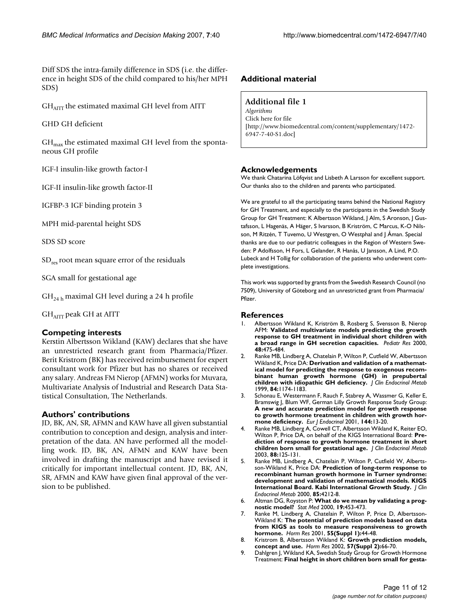Diff SDS the intra-family difference in SDS (i.e. the difference in height SDS of the child compared to his/her MPH SDS)

GH<sub>AITT</sub> the estimated maximal GH level from AITT

GHD GH deficient

 $GH<sub>max</sub>$  the estimated maximal GH level from the spontaneous GH profile

IGF-I insulin-like growth factor-I

IGF-II insulin-like growth factor-II

IGFBP-3 IGF binding protein 3

MPH mid-parental height SDS

SDS SD score

 $SD_{res}$  root mean square error of the residuals

SGA small for gestational age

 $GH<sub>24 h</sub>$  maximal GH level during a 24 h profile

GH<sub>AITT</sub> peak GH at AITT

#### **Competing interests**

Kerstin Albertsson Wikland (KAW) declares that she have an unrestricted research grant from Pharmacia/Pfizer. Berit Kristrom (BK) has received reimbursement for expert consultant work for Pfizer but has no shares or received any salary. Andreas FM Nierop (AFMN) works for Muvara, Multivariate Analysis of Industrial and Research Data Statistical Consultation, The Netherlands.

# **Authors' contributions**

JD, BK, AN, SR, AFMN and KAW have all given substantial contribution to conception and design, analysis and interpretation of the data. AN have performed all the modelling work. JD, BK, AN, AFMN and KAW have been involved in drafting the manuscript and have revised it critically for important intellectual content. JD, BK, AN, SR, AFMN and KAW have given final approval of the version to be published.

# **Additional material**

### **Additional file 1**

*Algorithms* Click here for file [http://www.biomedcentral.com/content/supplementary/1472- 6947-7-40-S1.doc]

### **Acknowledgements**

We thank Chatarina Löfqvist and Lisbeth A Larsson for excellent support. Our thanks also to the children and parents who participated.

We are grateful to all the participating teams behind the National Registry for GH Treatment, and especially to the participants in the Swedish Study Group for GH Treatment: K Albertsson Wikland, J Alm, S Aronson, J Gustafsson, L Hagenäs, A Häger, S Ivarsson, B Kriström, C Marcus, K-O Nilsson, M Ritzén, T Tuvemo, U Westgren, O Westphal and J Åman. Special thanks are due to our pediatric colleagues in the Region of Western Sweden: P Adolfsson, H Fors, L Gelander, R Hanås, U Jansson, A Lind, P.O. Lubeck and H Tollig for collaboration of the patients who underwent complete investigations.

This work was supported by grants from the Swedish Research Council (no 7509), University of Göteborg and an unrestricted grant from Pharmacia/ Pfizer.

#### **References**

- 1. Albertsson Wikland K, Kriström B, Rosberg S, Svensson B, Nierop AFM: **Validated multivariate models predicting the growth response to GH treatment in individual short children with a broad range in GH secretion capacities.** *Pediatr Res* 2000, **48:**475-484.
- 2. Ranke MB, Lindberg A, Chatelain P, Wilton P, Cutfield W, Albertsson Wikland K, Price DA: **Derivation and validation of a mathematical model for predicting the response to exogenous recombinant human growth hormone (GH) in prepubertal children with idiopathic GH deficiency.** *J Clin Endocrinol Metab* 1999, **84:**1174-1183.
- 3. Schonau E, Westermann F, Rauch F, Stabrey A, Wassmer G, Keller E, Bramswig J, Blum WF, German Lilly Growth Response Study Group: **A new and accurate prediction model for growth response to growth hormone treatment in children with growth hormone deficiency.** *Eur J Endocrinol* 2001, **144:**13-20.
- 4. Ranke MB, Lindberg A, Cowell CT, Albertsson Wikland K, Reiter EO, Wilton P, Price DA, on behalf of the KIGS International Board: **Prediction of response to growth hormone treatment in short children born small for gestational age.** *J Clin Endocrinol Metab* 2003, **88:**125-131.
- 5. Ranke MB, Lindberg A, Chatelain P, Wilton P, Cutfield W, Albertsson-Wikland K, Price DA: **Prediction of long-term response to recombinant human growth hormone in Turner syndrome: development and validation of mathematical models. KIGS International Board. Kabi International Growth Study.** *J Clin Endocrinol Metab* 2000, **85:**4212-8.
- 6. Altman DG, Royston P: **What do we mean by validating a prognostic model?** *Stat Med* 2000, **19:**453-473.
- 7. Ranke M, Lindberg A, Chatelain P, Wilton P, Price D, Albertsson-Wikland K: **The potential of prediction models based on data from KIGS as tools to measure responsiveness to growth hormone.** *Horm Res* 2001, **55(Suppl 1):**44-48.
- 8. Kristrom B, Albertsson Wikland K: **Growth prediction models, concept and use.** *Horm Res* 2002, **57(Suppl 2):**66-70.
- 9. Dahlgren J, Wikland KA, Swedish Study Group for Growth Hormone Treatment: **Final height in short children born small for gesta-**